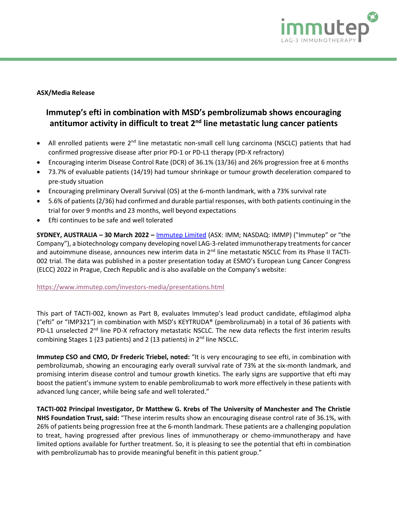

# **ASX/Media Release**

# **Immutep's efti in combination with MSD's pembrolizumab shows encouraging**  antitumor activity in difficult to treat 2<sup>nd</sup> line metastatic lung cancer patients

- All enrolled patients were 2<sup>nd</sup> line metastatic non-small cell lung carcinoma (NSCLC) patients that had confirmed progressive disease after prior PD-1 or PD-L1 therapy (PD-X refractory)
- Encouraging interim Disease Control Rate (DCR) of 36.1% (13/36) and 26% progression free at 6 months
- 73.7% of evaluable patients (14/19) had tumour shrinkage or tumour growth deceleration compared to pre-study situation
- Encouraging preliminary Overall Survival (OS) at the 6-month landmark, with a 73% survival rate
- 5.6% of patients (2/36) had confirmed and durable partial responses, with both patients continuing in the trial for over 9 months and 23 months, well beyond expectations
- Efti continues to be safe and well tolerated

**SYDNEY, AUSTRALIA – 30 March 2022 –** [Immutep Limited](about:blank) (ASX: IMM; NASDAQ: IMMP) ("Immutep" or "the Company"), a biotechnology company developing novel LAG-3-related immunotherapy treatments for cancer and autoimmune disease, announces new interim data in 2<sup>nd</sup> line metastatic NSCLC from its Phase II TACTI-002 trial. The data was published in a poster presentation today at ESMO's European Lung Cancer Congress (ELCC) 2022 in Prague, Czech Republic and is also available on the Company's website:

### <https://www.immutep.com/investors-media/presentations.html>

This part of TACTI-002, known as Part B, evaluates Immutep's lead product candidate, eftilagimod alpha ("efti" or "IMP321") in combination with MSD's KEYTRUDA® (pembrolizumab) in a total of 36 patients with PD-L1 unselected 2<sup>nd</sup> line PD-X refractory metastatic NSCLC. The new data reflects the first interim results combining Stages 1 (23 patients) and 2 (13 patients) in  $2<sup>nd</sup>$  line NSCLC.

**Immutep CSO and CMO, Dr Frederic Triebel, noted:** "It is very encouraging to see efti, in combination with pembrolizumab, showing an encouraging early overall survival rate of 73% at the six-month landmark, and promising interim disease control and tumour growth kinetics. The early signs are supportive that efti may boost the patient's immune system to enable pembrolizumab to work more effectively in these patients with advanced lung cancer, while being safe and well tolerated."

**TACTI-002 Principal Investigator, Dr Matthew G. Krebs of The University of Manchester and The Christie NHS Foundation Trust, said:** "These interim results show an encouraging disease control rate of 36.1%, with 26% of patients being progression free at the 6-month landmark. These patients are a challenging population to treat, having progressed after previous lines of immunotherapy or chemo-immunotherapy and have limited options available for further treatment. So, it is pleasing to see the potential that efti in combination with pembrolizumab has to provide meaningful benefit in this patient group."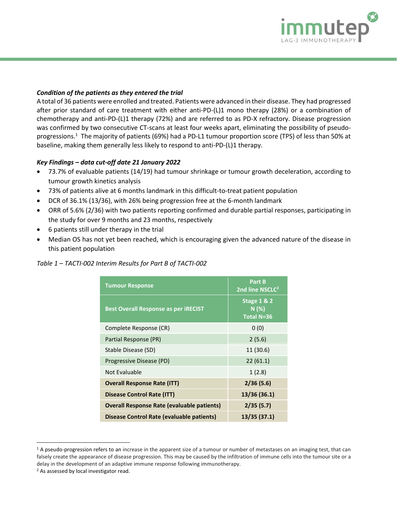

## *Condition of the patients as they entered the trial*

A total of 36 patients were enrolled and treated. Patients were advanced in their disease. They had progressed after prior standard of care treatment with either anti-PD-(L)1 mono therapy (28%) or a combination of chemotherapy and anti-PD-(L)1 therapy (72%) and are referred to as PD-X refractory. Disease progression was confirmed by two consecutive CT-scans at least four weeks apart, eliminating the possibility of pseudoprogressions. <sup>1</sup> The majority of patients (69%) had a PD-L1 tumour proportion score (TPS) of less than 50% at baseline, making them generally less likely to respond to anti-PD-(L)1 therapy.

# *Key Findings – data cut-off date 21 January 2022*

- 73.7% of evaluable patients (14/19) had tumour shrinkage or tumour growth deceleration, according to tumour growth kinetics analysis
- 73% of patients alive at 6 months landmark in this difficult-to-treat patient population
- DCR of 36.1% (13/36), with 26% being progression free at the 6-month landmark
- ORR of 5.6% (2/36) with two patients reporting confirmed and durable partial responses, participating in the study for over 9 months and 23 months, respectively
- 6 patients still under therapy in the trial
- Median OS has not yet been reached, which is encouraging given the advanced nature of the disease in this patient population

| Table 1 - TACTI-002 Interim Results for Part B of TACTI-002 |  |  |  |  |
|-------------------------------------------------------------|--|--|--|--|
|-------------------------------------------------------------|--|--|--|--|

| <b>Tumour Response</b>                            | Part B<br>2nd line NSCLC <sup>2</sup>               |  |
|---------------------------------------------------|-----------------------------------------------------|--|
| <b>Best Overall Response as per iRECIST</b>       | <b>Stage 1 &amp; 2</b><br>N(%)<br><b>Total N=36</b> |  |
| Complete Response (CR)                            | 0(0)                                                |  |
| Partial Response (PR)                             | 2(5.6)                                              |  |
| Stable Disease (SD)                               | 11 (30.6)                                           |  |
| Progressive Disease (PD)                          | 22(61.1)                                            |  |
| Not Evaluable                                     | 1(2.8)                                              |  |
| <b>Overall Response Rate (ITT)</b>                | 2/36(5.6)                                           |  |
| <b>Disease Control Rate (ITT)</b>                 | 13/36 (36.1)                                        |  |
| <b>Overall Response Rate (evaluable patients)</b> | 2/35(5.7)                                           |  |
| Disease Control Rate (evaluable patients)         | 13/35 (37.1)                                        |  |

<sup>&</sup>lt;sup>1</sup> A pseudo-progression refers to an increase in the apparent size of a tumour or number of metastases on an imaging test, that can falsely create the appearance of disease progression. This may be caused by the infiltration of immune cells into the tumour site or a delay in the development of an adaptive immune response following immunotherapy.

<sup>2</sup> As assessed by local investigator read.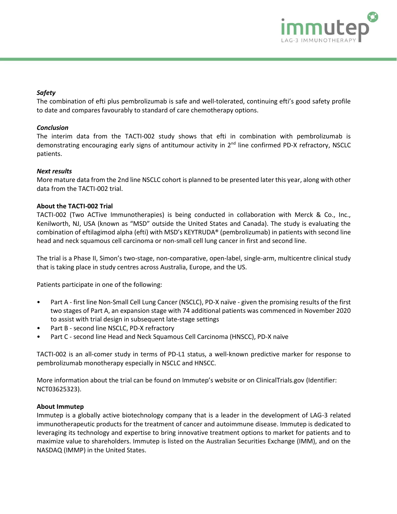

## *Safety*

The combination of efti plus pembrolizumab is safe and well-tolerated, continuing efti's good safety profile to date and compares favourably to standard of care chemotherapy options.

### *Conclusion*

The interim data from the TACTI-002 study shows that efti in combination with pembrolizumab is demonstrating encouraging early signs of antitumour activity in 2<sup>nd</sup> line confirmed PD-X refractory, NSCLC patients.

#### *Next results*

More mature data from the 2nd line NSCLC cohort is planned to be presented later this year, along with other data from the TACTI-002 trial.

#### **About the TACTI-002 Trial**

TACTI-002 (Two ACTive Immunotherapies) is being conducted in collaboration with Merck & Co., Inc., Kenilworth, NJ, USA (known as "MSD" outside the United States and Canada). The study is evaluating the combination of eftilagimod alpha (efti) with MSD's KEYTRUDA® (pembrolizumab) in patients with second line head and neck squamous cell carcinoma or non-small cell lung cancer in first and second line.

The trial is a Phase II, Simon's two-stage, non-comparative, open-label, single-arm, multicentre clinical study that is taking place in study centres across Australia, Europe, and the US.

Patients participate in one of the following:

- Part A first line Non-Small Cell Lung Cancer (NSCLC), PD-X naïve given the promising results of the first two stages of Part A, an expansion stage with 74 additional patients was commenced in November 2020 to assist with trial design in subsequent late-stage settings
- Part B second line NSCLC, PD-X refractory
- Part C second line Head and Neck Squamous Cell Carcinoma (HNSCC), PD-X naïve

TACTI-002 is an all-comer study in terms of PD-L1 status, a well-known predictive marker for response to pembrolizumab monotherapy especially in NSCLC and HNSCC.

More information about the trial can be found on Immutep's website or on ClinicalTrials.gov (Identifier: NCT03625323).

#### **About Immutep**

Immutep is a globally active biotechnology company that is a leader in the development of LAG-3 related immunotherapeutic products for the treatment of cancer and autoimmune disease. Immutep is dedicated to leveraging its technology and expertise to bring innovative treatment options to market for patients and to maximize value to shareholders. Immutep is listed on the Australian Securities Exchange (IMM), and on the NASDAQ (IMMP) in the United States.